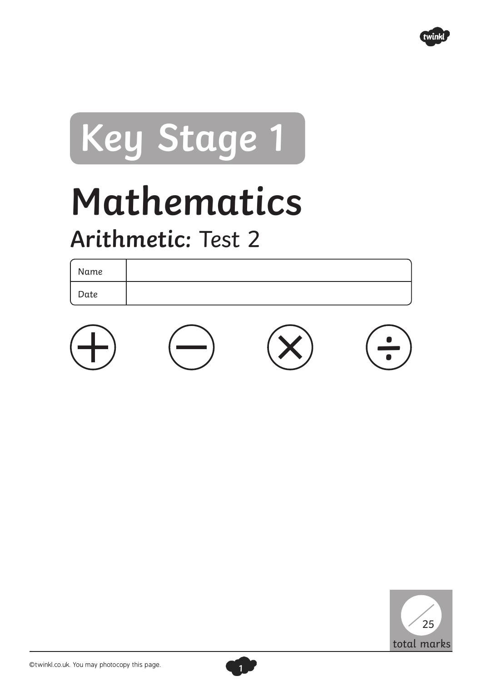

## **Key Stage 1**

## **Mathematics**

## **Arithmetic:** Test 2

Name Date





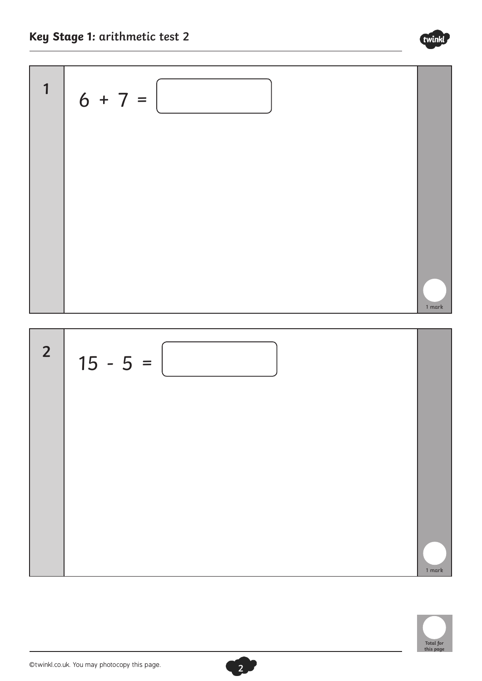



**2**



twinkl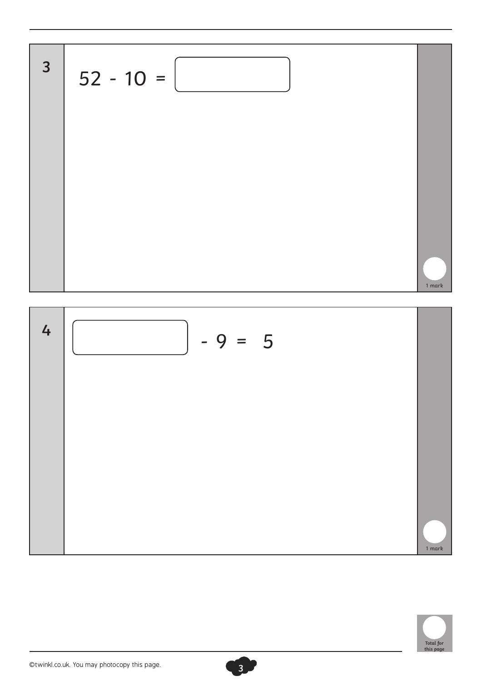



1 mark

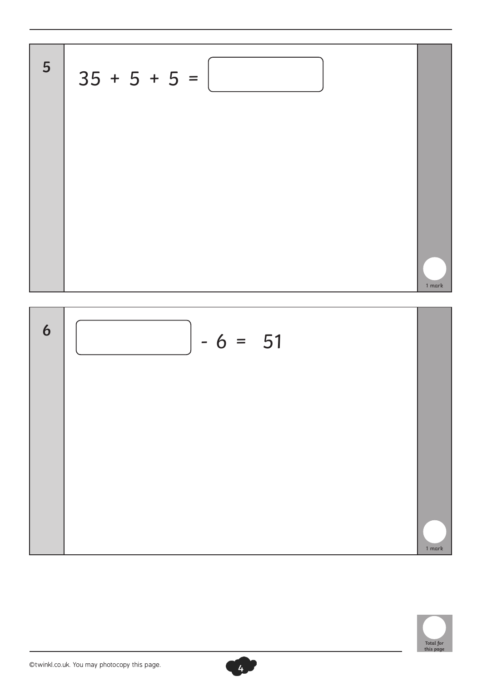





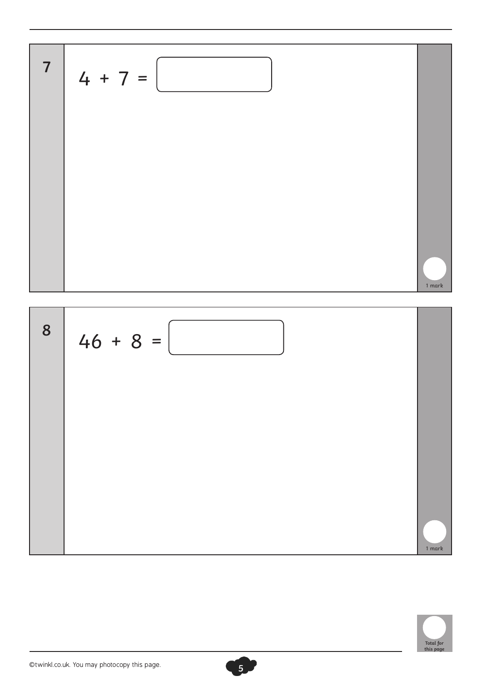$$
4 + 7 = \boxed{\boxed{14 + 7 = \boxed{14 + 7 = \boxed{14}}
$$



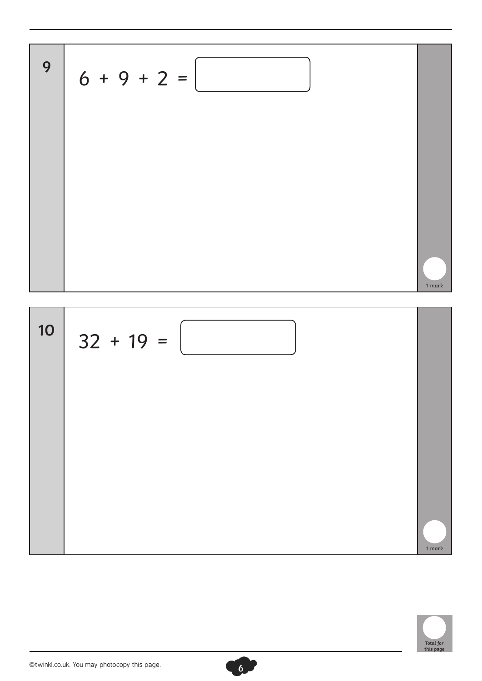$$
6 + 9 + 2 =
$$



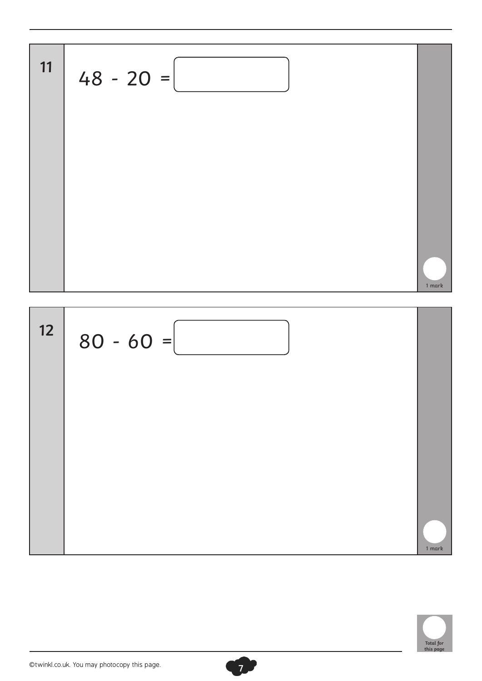$$
48 - 20 =
$$



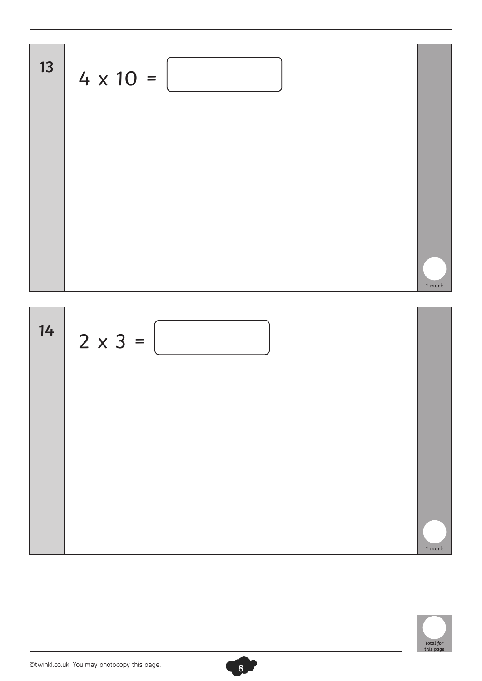



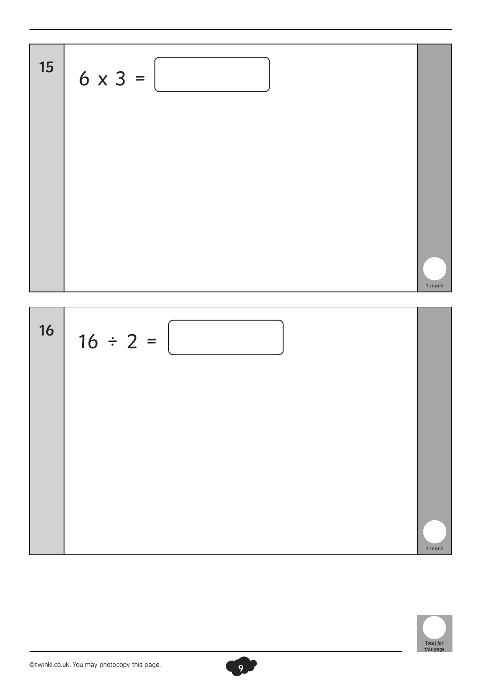$$
6 \times 3 = \boxed{\boxed{15 + \boxed{16 + \boxed{16 + \boxed{16 + \boxed{16 + \boxed{16 + \boxed{16 + \boxed{16 + \boxed{16 + \boxed{16 + \boxed{16 + \boxed{16 + \boxed{16 + \boxed{16 + \boxed{16 + \boxed{16 + \boxed{16 + \boxed{16 + \boxed{16 + \boxed{16 + \boxed{16 + \boxed{16 + \boxed{16 + \boxed{16 + \boxed{16 + \boxed{16 + \boxed{16 + \boxed{16 + \boxed{16 + \boxed{16 + \boxed{16 + \boxed{16 + \boxed{16 + \boxed{16 + \boxed{16 + \boxed{16 + \boxed{16 + \boxed{16 + \boxed{16 + \boxed{16 + \boxed{16 + \boxed{16 + \boxed{16 + \boxed{16 + \boxed{16 + \boxed{16 + \boxed{16 + \boxed{16 + \boxed{16 + \boxed{16 + \boxed{16 + \boxed{16 + \boxed{16 + \boxed{16 + \boxed{16 + \boxed{16 + \boxed{16 + \boxed{16 + \boxed{16 + \boxed{16 + \boxed{16 + \boxed{16 + \boxed{16 + \boxed{16 + \boxed{16 + \boxed{16 + \boxed{16 + \boxed{16 + \boxed{16 + \boxed{16 + \boxed{16 + \boxed{16 + \boxed{16 + \boxed{16 + \boxed{16 + \boxed{16 + \boxed{16 + \boxed{16 + \boxed{16 + \boxed{16 + \boxed{16 + \boxed{16 + \boxed{16 + \boxed{16 + \boxed{16 + \boxed{16 + \boxed{16 + \boxed{16 + \boxed{16 + \boxed{16 + \boxed{16 + \boxed{16 + \boxed{16 + \boxed{16 + \boxed{16 + \boxed{16 + \boxed{16 + \boxed{16 + \boxed{16 + \boxed{16 + \boxed{16 + \boxed{16 + \boxed{16 + \boxed{16 + \boxed{16 + \boxed{16 + \boxed{16 + \boxed{16 + \boxed{16 + \boxed{16 + \boxed{16 + \boxed{16 + \boxed{16 + \boxed{16 + \boxed{16 + \boxed{16 + \boxed{16 + \boxed{16 + \boxed{16 + \boxed{16 + \boxed{16 + \boxed{16 + \boxed{16 + \boxed{16 + \boxed{16 + \
$$



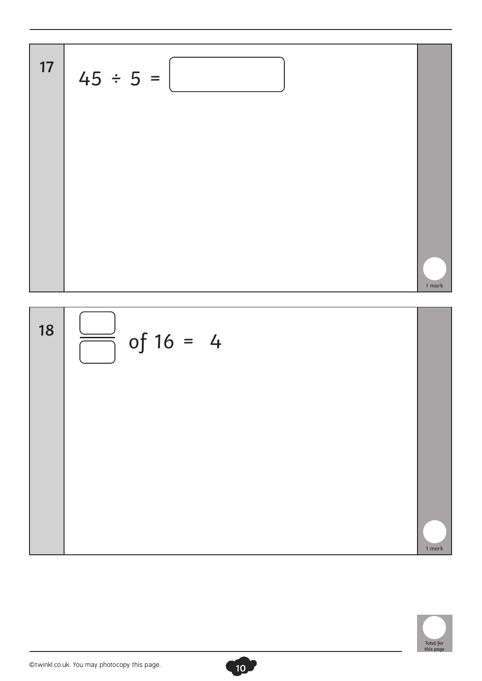



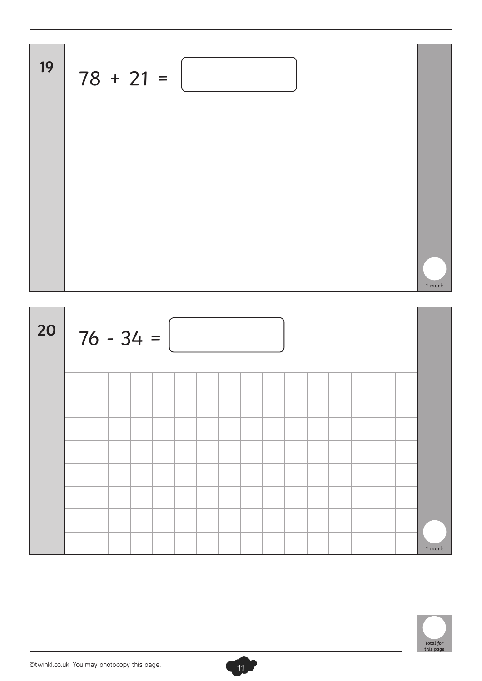

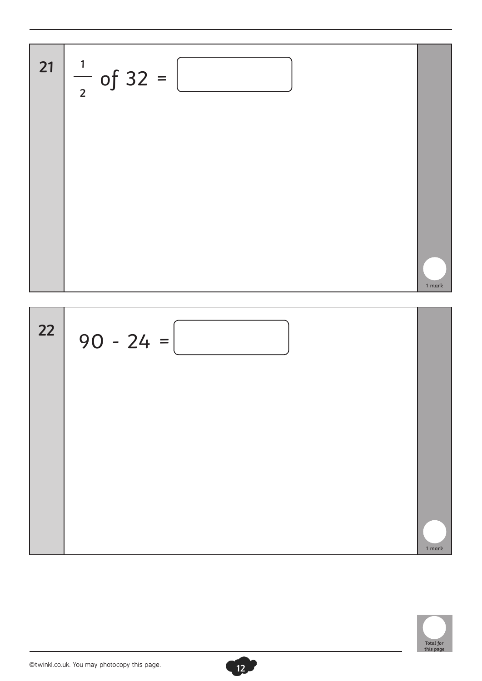$$
\begin{array}{|c|c|}\n\hline\n21 & \frac{1}{2} \text{ of } 32 = \boxed{1} \\
\hline\n22 & 90 - 24 = \boxed{1} \\
\hline\n\end{array}
$$



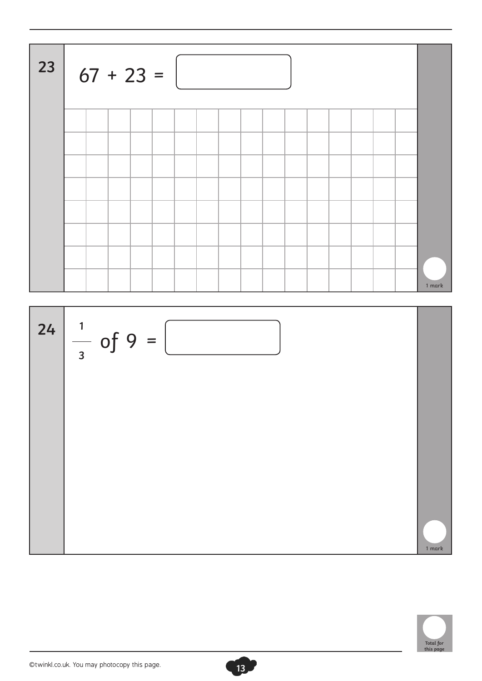| 23 | $67 + 23 =$ |  |  |  |  |  |  |  |  |  |  |  |        |
|----|-------------|--|--|--|--|--|--|--|--|--|--|--|--------|
|    |             |  |  |  |  |  |  |  |  |  |  |  |        |
|    |             |  |  |  |  |  |  |  |  |  |  |  |        |
|    |             |  |  |  |  |  |  |  |  |  |  |  |        |
|    |             |  |  |  |  |  |  |  |  |  |  |  |        |
|    |             |  |  |  |  |  |  |  |  |  |  |  |        |
|    |             |  |  |  |  |  |  |  |  |  |  |  |        |
|    |             |  |  |  |  |  |  |  |  |  |  |  |        |
|    |             |  |  |  |  |  |  |  |  |  |  |  | 1 mark |



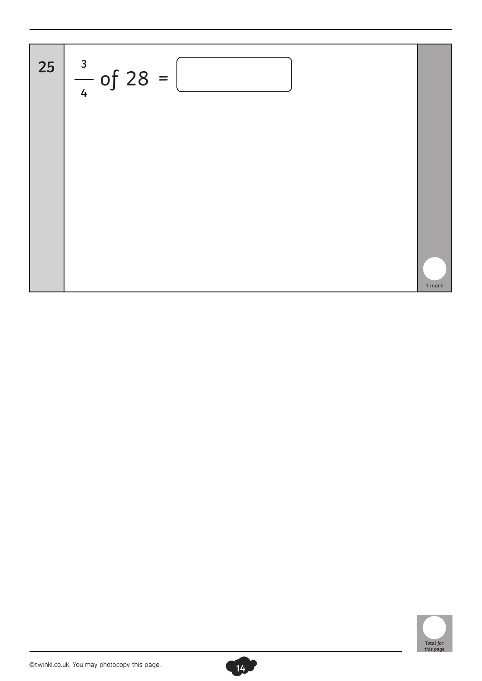